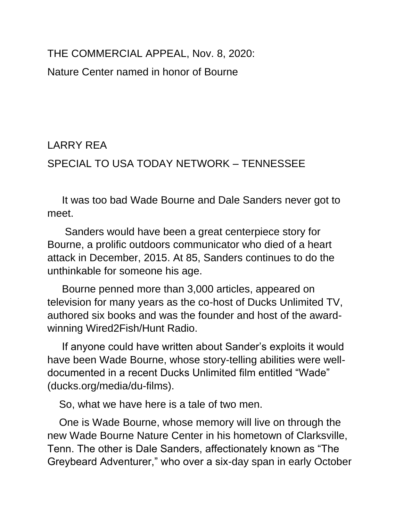THE COMMERCIAL APPEAL, Nov. 8, 2020:

Nature Center named in honor of Bourne

## LARRY REA

## SPECIAL TO USA TODAY NETWORK – TENNESSEE

 It was too bad Wade Bourne and Dale Sanders never got to meet.

 Sanders would have been a great centerpiece story for Bourne, a prolific outdoors communicator who died of a heart attack in December, 2015. At 85, Sanders continues to do the unthinkable for someone his age.

 Bourne penned more than 3,000 articles, appeared on television for many years as the co-host of Ducks Unlimited TV, authored six books and was the founder and host of the awardwinning Wired2Fish/Hunt Radio.

 If anyone could have written about Sander's exploits it would have been Wade Bourne, whose story-telling abilities were welldocumented in a recent Ducks Unlimited film entitled "Wade" (ducks.org/media/du-films).

So, what we have here is a tale of two men.

 One is Wade Bourne, whose memory will live on through the new Wade Bourne Nature Center in his hometown of Clarksville, Tenn. The other is Dale Sanders, affectionately known as "The Greybeard Adventurer," who over a six-day span in early October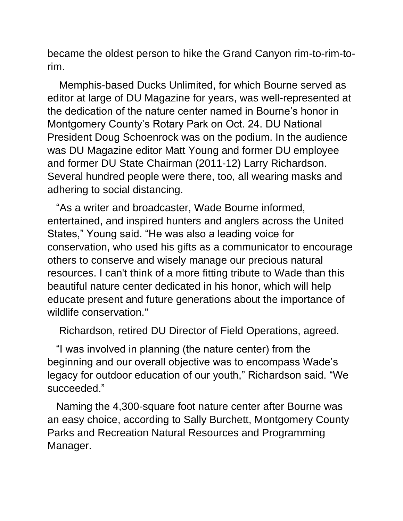became the oldest person to hike the Grand Canyon rim-to-rim-torim.

 Memphis-based Ducks Unlimited, for which Bourne served as editor at large of DU Magazine for years, was well-represented at the dedication of the nature center named in Bourne's honor in Montgomery County's Rotary Park on Oct. 24. DU National President Doug Schoenrock was on the podium. In the audience was DU Magazine editor Matt Young and former DU employee and former DU State Chairman (2011-12) Larry Richardson. Several hundred people were there, too, all wearing masks and adhering to social distancing.

 "As a writer and broadcaster, Wade Bourne informed, entertained, and inspired hunters and anglers across the United States," Young said. "He was also a leading voice for conservation, who used his gifts as a communicator to encourage others to conserve and wisely manage our precious natural resources. I can't think of a more fitting tribute to Wade than this beautiful nature center dedicated in his honor, which will help educate present and future generations about the importance of wildlife conservation."

Richardson, retired DU Director of Field Operations, agreed.

 "I was involved in planning (the nature center) from the beginning and our overall objective was to encompass Wade's legacy for outdoor education of our youth," Richardson said. "We succeeded."

 Naming the 4,300-square foot nature center after Bourne was an easy choice, according to Sally Burchett, Montgomery County Parks and Recreation Natural Resources and Programming Manager.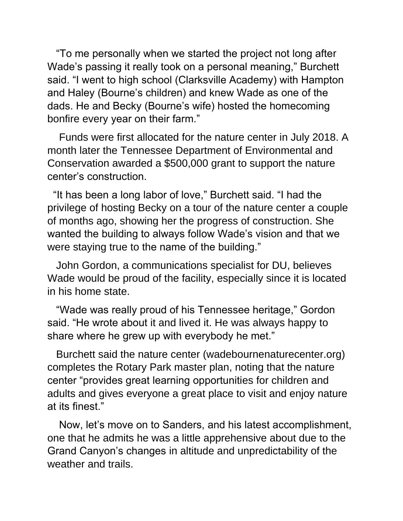"To me personally when we started the project not long after Wade's passing it really took on a personal meaning," Burchett said. "I went to high school (Clarksville Academy) with Hampton and Haley (Bourne's children) and knew Wade as one of the dads. He and Becky (Bourne's wife) hosted the homecoming bonfire every year on their farm."

 Funds were first allocated for the nature center in July 2018. A month later the Tennessee Department of Environmental and Conservation awarded a \$500,000 grant to support the nature center's construction.

 "It has been a long labor of love," Burchett said. "I had the privilege of hosting Becky on a tour of the nature center a couple of months ago, showing her the progress of construction. She wanted the building to always follow Wade's vision and that we were staying true to the name of the building."

 John Gordon, a communications specialist for DU, believes Wade would be proud of the facility, especially since it is located in his home state.

 "Wade was really proud of his Tennessee heritage," Gordon said. "He wrote about it and lived it. He was always happy to share where he grew up with everybody he met."

 Burchett said the nature center (wadebournenaturecenter.org) completes the Rotary Park master plan, noting that the nature center "provides great learning opportunities for children and adults and gives everyone a great place to visit and enjoy nature at its finest."

 Now, let's move on to Sanders, and his latest accomplishment, one that he admits he was a little apprehensive about due to the Grand Canyon's changes in altitude and unpredictability of the weather and trails.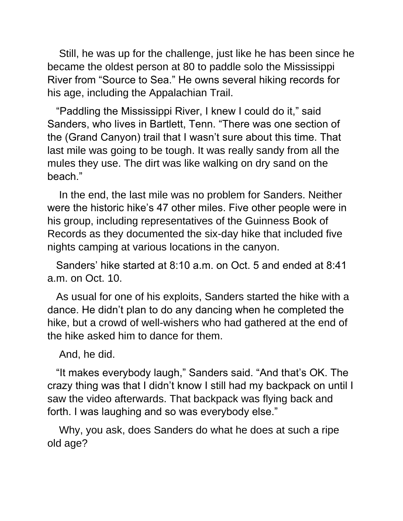Still, he was up for the challenge, just like he has been since he became the oldest person at 80 to paddle solo the Mississippi River from "Source to Sea." He owns several hiking records for his age, including the Appalachian Trail.

 "Paddling the Mississippi River, I knew I could do it," said Sanders, who lives in Bartlett, Tenn. "There was one section of the (Grand Canyon) trail that I wasn't sure about this time. That last mile was going to be tough. It was really sandy from all the mules they use. The dirt was like walking on dry sand on the beach."

 In the end, the last mile was no problem for Sanders. Neither were the historic hike's 47 other miles. Five other people were in his group, including representatives of the Guinness Book of Records as they documented the six-day hike that included five nights camping at various locations in the canyon.

 Sanders' hike started at 8:10 a.m. on Oct. 5 and ended at 8:41 a.m. on Oct. 10.

 As usual for one of his exploits, Sanders started the hike with a dance. He didn't plan to do any dancing when he completed the hike, but a crowd of well-wishers who had gathered at the end of the hike asked him to dance for them.

And, he did.

 "It makes everybody laugh," Sanders said. "And that's OK. The crazy thing was that I didn't know I still had my backpack on until I saw the video afterwards. That backpack was flying back and forth. I was laughing and so was everybody else."

 Why, you ask, does Sanders do what he does at such a ripe old age?